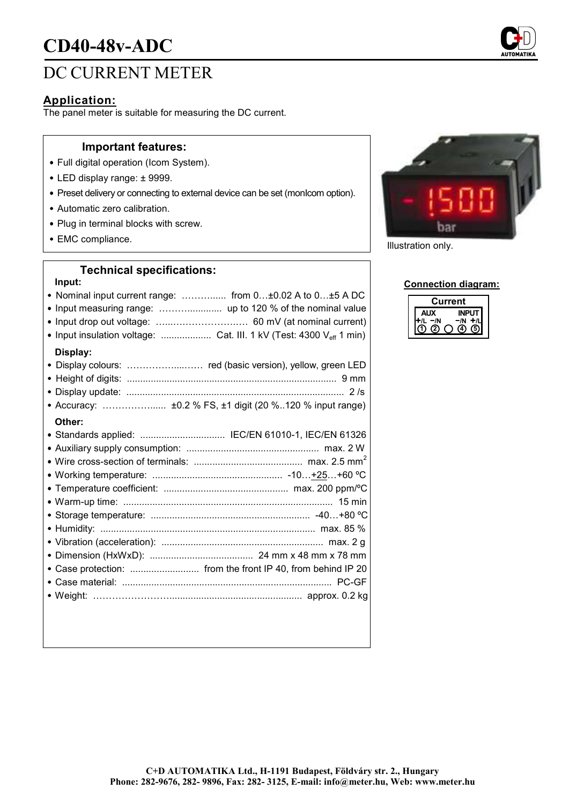# **CD40-48v-ADC**

## DC CURRENT METER

### **Application:**

The panel meter is suitable for measuring the DC current.

#### **Important features:**

- Full digital operation (Icom System).
- LED display range: ± 9999.
- Preset delivery or connecting to external device can be set (monIcom option).
- Automatic zero calibration.
- Plug in terminal blocks with screw.
- EMC compliance. The compliance of the compliance of the compliance of the compliance of the compliance of the compliance of the compliance of the compliance of the compliance of the compliance of the compliance of the co

#### **Technical specifications:**

#### **Input:**

- Nominal input current range: ………...... from 0…±0.02 A to 0…±5 A DC
- Input measuring range: ………............. up to 120 % of the nominal value
- Input drop out voltage: …...….…………….…. 60 mV (at nominal current)
- Input insulation voltage: ...................... Cat. III. 1 kV (Test: 4300 V<sub>eff</sub> 1 min)

#### **Display:**

| • Accuracy:  ±0.2 % FS, ±1 digit (20 %120 % input range) |  |
|----------------------------------------------------------|--|
| Other:                                                   |  |
| • Standards applied:  IEC/EN 61010-1, IEC/EN 61326       |  |
|                                                          |  |
|                                                          |  |



#### **Connection diagram:**